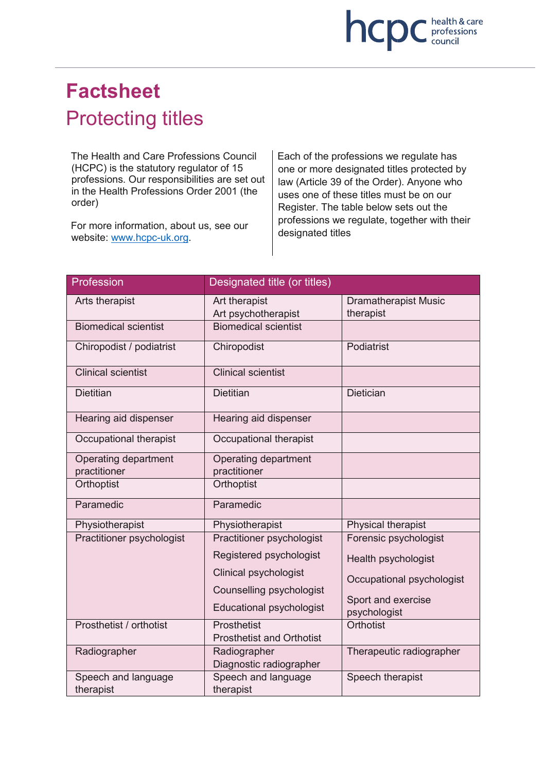

# **Factsheet** Protecting titles

The Health and Care Professions Council (HCPC) is the statutory regulator of 15 professions. Our responsibilities are set out in the Health Professions Order 2001 (the order)

For more information, about us, see our website: www.hcpc-uk.org.

Each of the professions we regulate has one or more designated titles protected by law (Article 39 of the Order). Anyone who uses one of these titles must be on our Register. The table below sets out the professions we regulate, together with their designated titles

| Profession                           | Designated title (or titles)                    |                                          |
|--------------------------------------|-------------------------------------------------|------------------------------------------|
| Arts therapist                       | Art therapist<br>Art psychotherapist            | <b>Dramatherapist Music</b><br>therapist |
| <b>Biomedical scientist</b>          | <b>Biomedical scientist</b>                     |                                          |
| Chiropodist / podiatrist             | Chiropodist                                     | Podiatrist                               |
| <b>Clinical scientist</b>            | <b>Clinical scientist</b>                       |                                          |
| <b>Dietitian</b>                     | <b>Dietitian</b>                                | <b>Dietician</b>                         |
| Hearing aid dispenser                | Hearing aid dispenser                           |                                          |
| Occupational therapist               | Occupational therapist                          |                                          |
| Operating department<br>practitioner | Operating department<br>practitioner            |                                          |
| Orthoptist                           | Orthoptist                                      |                                          |
| Paramedic                            | Paramedic                                       |                                          |
| Physiotherapist                      | Physiotherapist                                 | Physical therapist                       |
| Practitioner psychologist            | Practitioner psychologist                       | Forensic psychologist                    |
|                                      | Registered psychologist                         | Health psychologist                      |
|                                      | <b>Clinical psychologist</b>                    | Occupational psychologist                |
|                                      | Counselling psychologist                        |                                          |
|                                      | <b>Educational psychologist</b>                 | Sport and exercise<br>psychologist       |
| Prosthetist / orthotist              | Prosthetist<br><b>Prosthetist and Orthotist</b> | Orthotist                                |
| Radiographer                         | Radiographer<br>Diagnostic radiographer         | Therapeutic radiographer                 |
| Speech and language<br>therapist     | Speech and language<br>therapist                | Speech therapist                         |